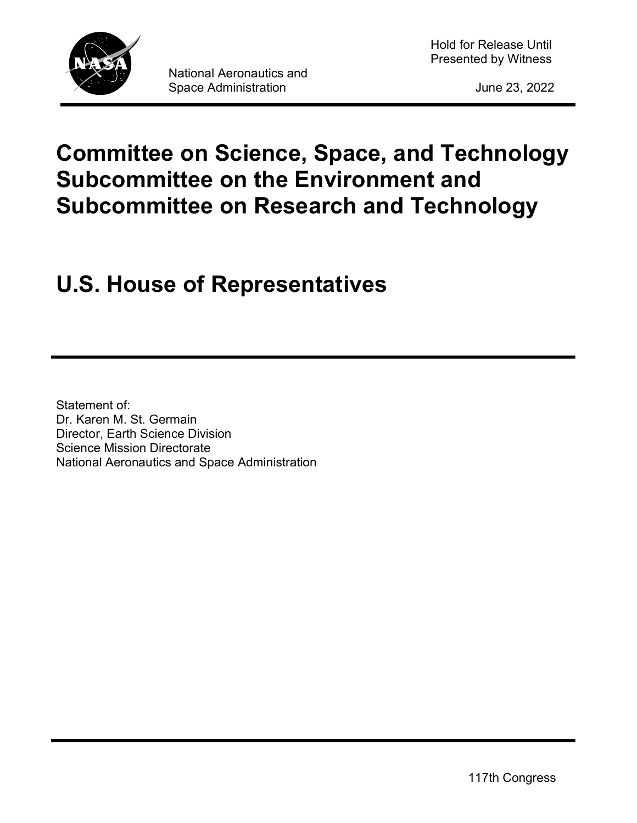

# Committee on Science, Space, and Technology Subcommittee on the Environment and Subcommittee on Research and Technology

# U.S. House of Representatives

Statement of: Dr. Karen M. St. Germain Director, Earth Science Division Science Mission Directorate National Aeronautics and Space Administration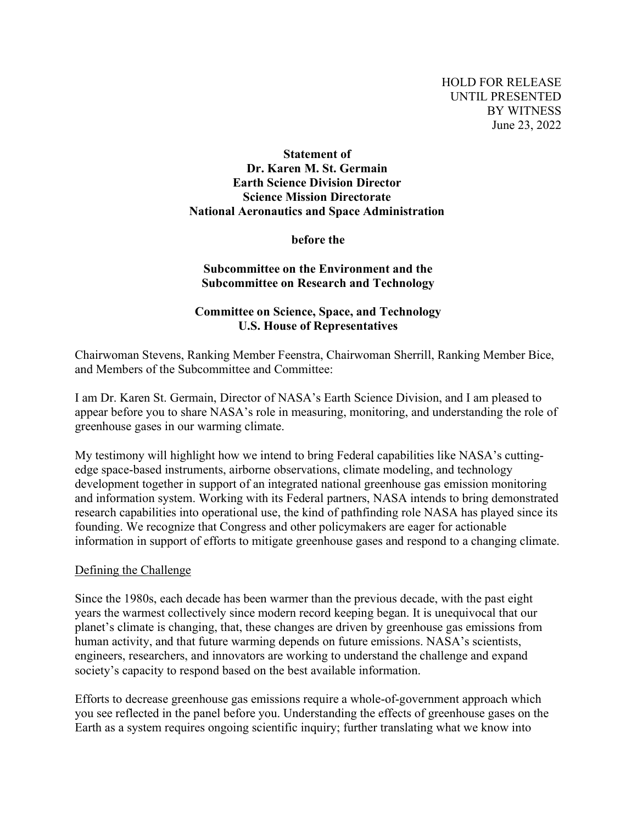# Statement of Dr. Karen M. St. Germain Earth Science Division Director Science Mission Directorate National Aeronautics and Space Administration

before the

### Subcommittee on the Environment and the Subcommittee on Research and Technology

# Committee on Science, Space, and Technology U.S. House of Representatives

Chairwoman Stevens, Ranking Member Feenstra, Chairwoman Sherrill, Ranking Member Bice, and Members of the Subcommittee and Committee:

I am Dr. Karen St. Germain, Director of NASA's Earth Science Division, and I am pleased to appear before you to share NASA's role in measuring, monitoring, and understanding the role of greenhouse gases in our warming climate.

My testimony will highlight how we intend to bring Federal capabilities like NASA's cuttingedge space-based instruments, airborne observations, climate modeling, and technology development together in support of an integrated national greenhouse gas emission monitoring and information system. Working with its Federal partners, NASA intends to bring demonstrated research capabilities into operational use, the kind of pathfinding role NASA has played since its founding. We recognize that Congress and other policymakers are eager for actionable information in support of efforts to mitigate greenhouse gases and respond to a changing climate.

#### Defining the Challenge

Since the 1980s, each decade has been warmer than the previous decade, with the past eight years the warmest collectively since modern record keeping began. It is unequivocal that our planet's climate is changing, that, these changes are driven by greenhouse gas emissions from human activity, and that future warming depends on future emissions. NASA's scientists, engineers, researchers, and innovators are working to understand the challenge and expand society's capacity to respond based on the best available information.

Efforts to decrease greenhouse gas emissions require a whole-of-government approach which you see reflected in the panel before you. Understanding the effects of greenhouse gases on the Earth as a system requires ongoing scientific inquiry; further translating what we know into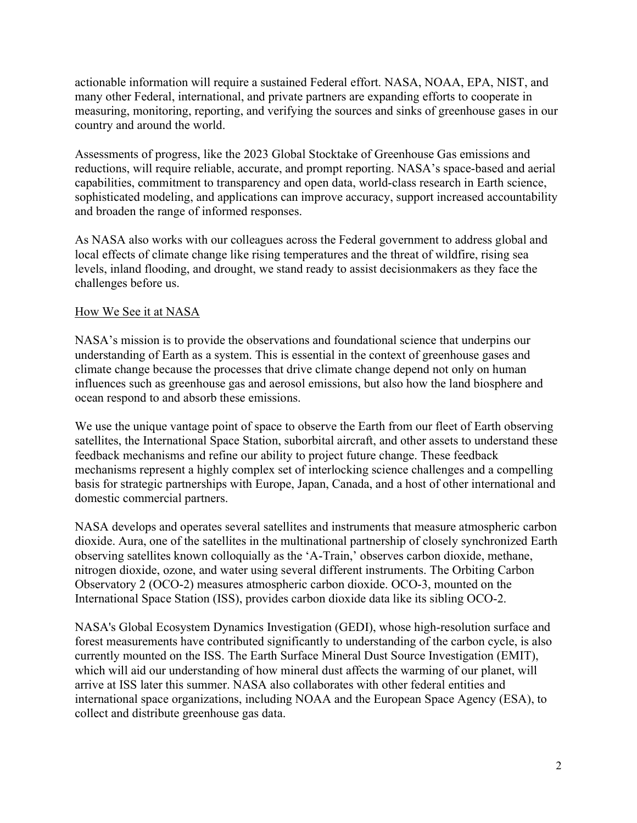actionable information will require a sustained Federal effort. NASA, NOAA, EPA, NIST, and many other Federal, international, and private partners are expanding efforts to cooperate in measuring, monitoring, reporting, and verifying the sources and sinks of greenhouse gases in our country and around the world.

Assessments of progress, like the 2023 Global Stocktake of Greenhouse Gas emissions and reductions, will require reliable, accurate, and prompt reporting. NASA's space-based and aerial capabilities, commitment to transparency and open data, world-class research in Earth science, sophisticated modeling, and applications can improve accuracy, support increased accountability and broaden the range of informed responses.

As NASA also works with our colleagues across the Federal government to address global and local effects of climate change like rising temperatures and the threat of wildfire, rising sea levels, inland flooding, and drought, we stand ready to assist decisionmakers as they face the challenges before us.

# How We See it at NASA

NASA's mission is to provide the observations and foundational science that underpins our understanding of Earth as a system. This is essential in the context of greenhouse gases and climate change because the processes that drive climate change depend not only on human influences such as greenhouse gas and aerosol emissions, but also how the land biosphere and ocean respond to and absorb these emissions.

We use the unique vantage point of space to observe the Earth from our fleet of Earth observing satellites, the International Space Station, suborbital aircraft, and other assets to understand these feedback mechanisms and refine our ability to project future change. These feedback mechanisms represent a highly complex set of interlocking science challenges and a compelling basis for strategic partnerships with Europe, Japan, Canada, and a host of other international and domestic commercial partners.

NASA develops and operates several satellites and instruments that measure atmospheric carbon dioxide. Aura, one of the satellites in the multinational partnership of closely synchronized Earth observing satellites known colloquially as the 'A-Train,' observes carbon dioxide, methane, nitrogen dioxide, ozone, and water using several different instruments. The Orbiting Carbon Observatory 2 (OCO-2) measures atmospheric carbon dioxide. OCO-3, mounted on the International Space Station (ISS), provides carbon dioxide data like its sibling OCO-2.

NASA's Global Ecosystem Dynamics Investigation (GEDI), whose high-resolution surface and forest measurements have contributed significantly to understanding of the carbon cycle, is also currently mounted on the ISS. The Earth Surface Mineral Dust Source Investigation (EMIT), which will aid our understanding of how mineral dust affects the warming of our planet, will arrive at ISS later this summer. NASA also collaborates with other federal entities and international space organizations, including NOAA and the European Space Agency (ESA), to collect and distribute greenhouse gas data.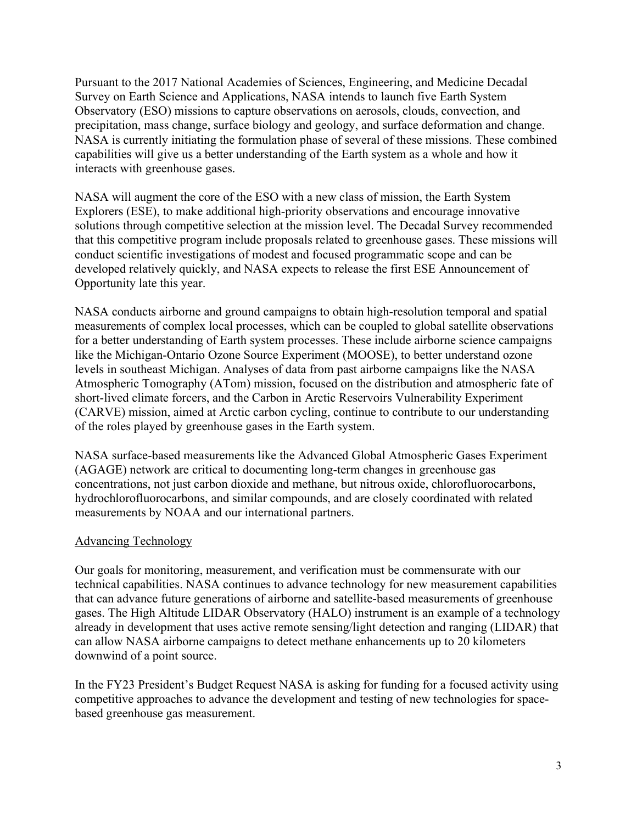Pursuant to the 2017 National Academies of Sciences, Engineering, and Medicine Decadal Survey on Earth Science and Applications, NASA intends to launch five Earth System Observatory (ESO) missions to capture observations on aerosols, clouds, convection, and precipitation, mass change, surface biology and geology, and surface deformation and change. NASA is currently initiating the formulation phase of several of these missions. These combined capabilities will give us a better understanding of the Earth system as a whole and how it interacts with greenhouse gases.

NASA will augment the core of the ESO with a new class of mission, the Earth System Explorers (ESE), to make additional high-priority observations and encourage innovative solutions through competitive selection at the mission level. The Decadal Survey recommended that this competitive program include proposals related to greenhouse gases. These missions will conduct scientific investigations of modest and focused programmatic scope and can be developed relatively quickly, and NASA expects to release the first ESE Announcement of Opportunity late this year.

NASA conducts airborne and ground campaigns to obtain high-resolution temporal and spatial measurements of complex local processes, which can be coupled to global satellite observations for a better understanding of Earth system processes. These include airborne science campaigns like the Michigan-Ontario Ozone Source Experiment (MOOSE), to better understand ozone levels in southeast Michigan. Analyses of data from past airborne campaigns like the NASA Atmospheric Tomography (ATom) mission, focused on the distribution and atmospheric fate of short-lived climate forcers, and the Carbon in Arctic Reservoirs Vulnerability Experiment (CARVE) mission, aimed at Arctic carbon cycling, continue to contribute to our understanding of the roles played by greenhouse gases in the Earth system.

NASA surface-based measurements like the Advanced Global Atmospheric Gases Experiment (AGAGE) network are critical to documenting long-term changes in greenhouse gas concentrations, not just carbon dioxide and methane, but nitrous oxide, chlorofluorocarbons, hydrochlorofluorocarbons, and similar compounds, and are closely coordinated with related measurements by NOAA and our international partners.

#### Advancing Technology

Our goals for monitoring, measurement, and verification must be commensurate with our technical capabilities. NASA continues to advance technology for new measurement capabilities that can advance future generations of airborne and satellite-based measurements of greenhouse gases. The High Altitude LIDAR Observatory (HALO) instrument is an example of a technology already in development that uses active remote sensing/light detection and ranging (LIDAR) that can allow NASA airborne campaigns to detect methane enhancements up to 20 kilometers downwind of a point source.

In the FY23 President's Budget Request NASA is asking for funding for a focused activity using competitive approaches to advance the development and testing of new technologies for spacebased greenhouse gas measurement.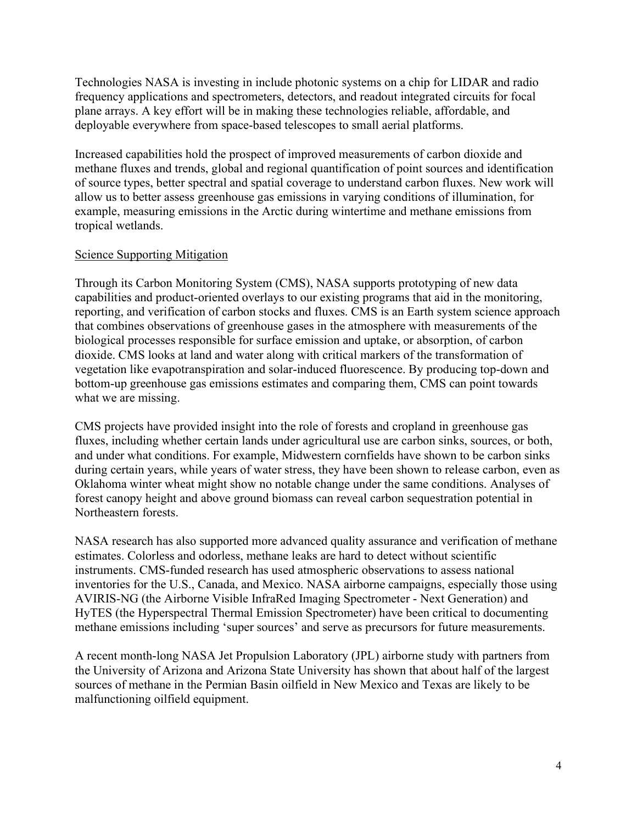Technologies NASA is investing in include photonic systems on a chip for LIDAR and radio frequency applications and spectrometers, detectors, and readout integrated circuits for focal plane arrays. A key effort will be in making these technologies reliable, affordable, and deployable everywhere from space-based telescopes to small aerial platforms.

Increased capabilities hold the prospect of improved measurements of carbon dioxide and methane fluxes and trends, global and regional quantification of point sources and identification of source types, better spectral and spatial coverage to understand carbon fluxes. New work will allow us to better assess greenhouse gas emissions in varying conditions of illumination, for example, measuring emissions in the Arctic during wintertime and methane emissions from tropical wetlands.

## Science Supporting Mitigation

Through its Carbon Monitoring System (CMS), NASA supports prototyping of new data capabilities and product-oriented overlays to our existing programs that aid in the monitoring, reporting, and verification of carbon stocks and fluxes. CMS is an Earth system science approach that combines observations of greenhouse gases in the atmosphere with measurements of the biological processes responsible for surface emission and uptake, or absorption, of carbon dioxide. CMS looks at land and water along with critical markers of the transformation of vegetation like evapotranspiration and solar-induced fluorescence. By producing top-down and bottom-up greenhouse gas emissions estimates and comparing them, CMS can point towards what we are missing.

CMS projects have provided insight into the role of forests and cropland in greenhouse gas fluxes, including whether certain lands under agricultural use are carbon sinks, sources, or both, and under what conditions. For example, Midwestern cornfields have shown to be carbon sinks during certain years, while years of water stress, they have been shown to release carbon, even as Oklahoma winter wheat might show no notable change under the same conditions. Analyses of forest canopy height and above ground biomass can reveal carbon sequestration potential in Northeastern forests.

NASA research has also supported more advanced quality assurance and verification of methane estimates. Colorless and odorless, methane leaks are hard to detect without scientific instruments. CMS-funded research has used atmospheric observations to assess national inventories for the U.S., Canada, and Mexico. NASA airborne campaigns, especially those using AVIRIS-NG (the Airborne Visible InfraRed Imaging Spectrometer - Next Generation) and HyTES (the Hyperspectral Thermal Emission Spectrometer) have been critical to documenting methane emissions including 'super sources' and serve as precursors for future measurements.

A recent month-long NASA Jet Propulsion Laboratory (JPL) airborne study with partners from the University of Arizona and Arizona State University has shown that about half of the largest sources of methane in the Permian Basin oilfield in New Mexico and Texas are likely to be malfunctioning oilfield equipment.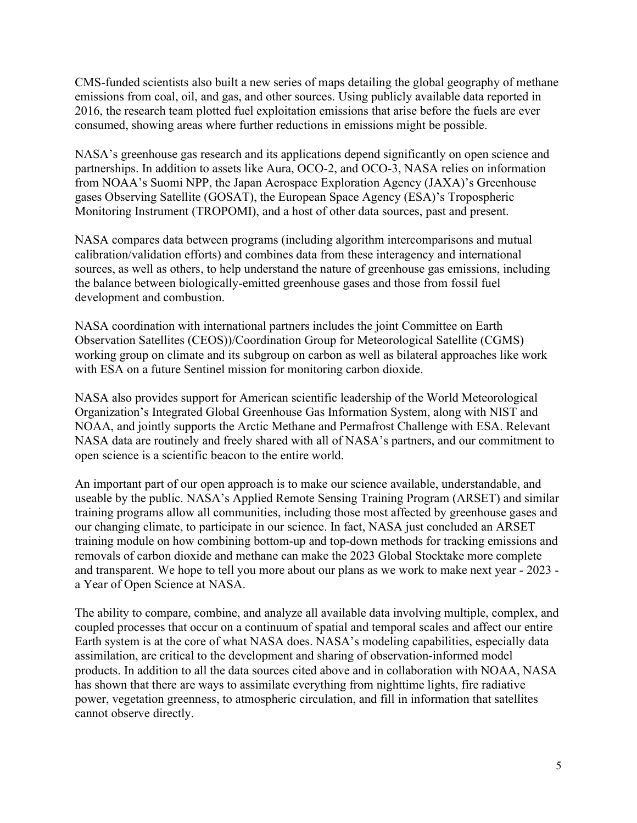CMS-funded scientists also built a new series of maps detailing the global geography of methane emissions from coal, oil, and gas, and other sources. Using publicly available data reported in 2016, the research team plotted fuel exploitation emissions that arise before the fuels are ever consumed, showing areas where further reductions in emissions might be possible.

NASA's greenhouse gas research and its applications depend significantly on open science and partnerships. In addition to assets like Aura, OCO-2, and OCO-3, NASA relies on information from NOAA's Suomi NPP, the Japan Aerospace Exploration Agency (JAXA)'s Greenhouse gases Observing Satellite (GOSAT), the European Space Agency (ESA)'s Tropospheric Monitoring Instrument (TROPOMI), and a host of other data sources, past and present.

NASA compares data between programs (including algorithm intercomparisons and mutual calibration/validation efforts) and combines data from these interagency and international sources, as well as others, to help understand the nature of greenhouse gas emissions, including the balance between biologically-emitted greenhouse gases and those from fossil fuel development and combustion.

NASA coordination with international partners includes the joint Committee on Earth Observation Satellites (CEOS))/Coordination Group for Meteorological Satellite (CGMS) working group on climate and its subgroup on carbon as well as bilateral approaches like work with ESA on a future Sentinel mission for monitoring carbon dioxide.

NASA also provides support for American scientific leadership of the World Meteorological Organization's Integrated Global Greenhouse Gas Information System, along with NIST and NOAA, and jointly supports the Arctic Methane and Permafrost Challenge with ESA. Relevant NASA data are routinely and freely shared with all of NASA's partners, and our commitment to open science is a scientific beacon to the entire world.

An important part of our open approach is to make our science available, understandable, and useable by the public. NASA's Applied Remote Sensing Training Program (ARSET) and similar training programs allow all communities, including those most affected by greenhouse gases and our changing climate, to participate in our science. In fact, NASA just concluded an ARSET training module on how combining bottom-up and top-down methods for tracking emissions and removals of carbon dioxide and methane can make the 2023 Global Stocktake more complete and transparent. We hope to tell you more about our plans as we work to make next year - 2023 a Year of Open Science at NASA.

The ability to compare, combine, and analyze all available data involving multiple, complex, and coupled processes that occur on a continuum of spatial and temporal scales and affect our entire Earth system is at the core of what NASA does. NASA's modeling capabilities, especially data assimilation, are critical to the development and sharing of observation-informed model products. In addition to all the data sources cited above and in collaboration with NOAA, NASA has shown that there are ways to assimilate everything from nighttime lights, fire radiative power, vegetation greenness, to atmospheric circulation, and fill in information that satellites cannot observe directly.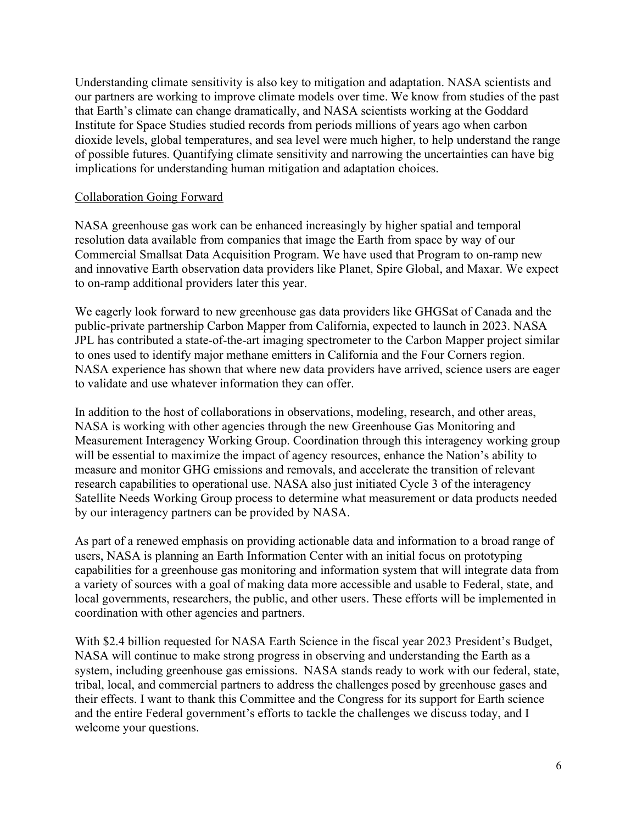Understanding climate sensitivity is also key to mitigation and adaptation. NASA scientists and our partners are working to improve climate models over time. We know from studies of the past that Earth's climate can change dramatically, and NASA scientists working at the Goddard Institute for Space Studies studied records from periods millions of years ago when carbon dioxide levels, global temperatures, and sea level were much higher, to help understand the range of possible futures. Quantifying climate sensitivity and narrowing the uncertainties can have big implications for understanding human mitigation and adaptation choices.

### Collaboration Going Forward

NASA greenhouse gas work can be enhanced increasingly by higher spatial and temporal resolution data available from companies that image the Earth from space by way of our Commercial Smallsat Data Acquisition Program. We have used that Program to on-ramp new and innovative Earth observation data providers like Planet, Spire Global, and Maxar. We expect to on-ramp additional providers later this year.

We eagerly look forward to new greenhouse gas data providers like GHGSat of Canada and the public-private partnership Carbon Mapper from California, expected to launch in 2023. NASA JPL has contributed a state-of-the-art imaging spectrometer to the Carbon Mapper project similar to ones used to identify major methane emitters in California and the Four Corners region. NASA experience has shown that where new data providers have arrived, science users are eager to validate and use whatever information they can offer.

In addition to the host of collaborations in observations, modeling, research, and other areas, NASA is working with other agencies through the new Greenhouse Gas Monitoring and Measurement Interagency Working Group. Coordination through this interagency working group will be essential to maximize the impact of agency resources, enhance the Nation's ability to measure and monitor GHG emissions and removals, and accelerate the transition of relevant research capabilities to operational use. NASA also just initiated Cycle 3 of the interagency Satellite Needs Working Group process to determine what measurement or data products needed by our interagency partners can be provided by NASA.

As part of a renewed emphasis on providing actionable data and information to a broad range of users, NASA is planning an Earth Information Center with an initial focus on prototyping capabilities for a greenhouse gas monitoring and information system that will integrate data from a variety of sources with a goal of making data more accessible and usable to Federal, state, and local governments, researchers, the public, and other users. These efforts will be implemented in coordination with other agencies and partners.

With \$2.4 billion requested for NASA Earth Science in the fiscal year 2023 President's Budget, NASA will continue to make strong progress in observing and understanding the Earth as a system, including greenhouse gas emissions. NASA stands ready to work with our federal, state, tribal, local, and commercial partners to address the challenges posed by greenhouse gases and their effects. I want to thank this Committee and the Congress for its support for Earth science and the entire Federal government's efforts to tackle the challenges we discuss today, and I welcome your questions.